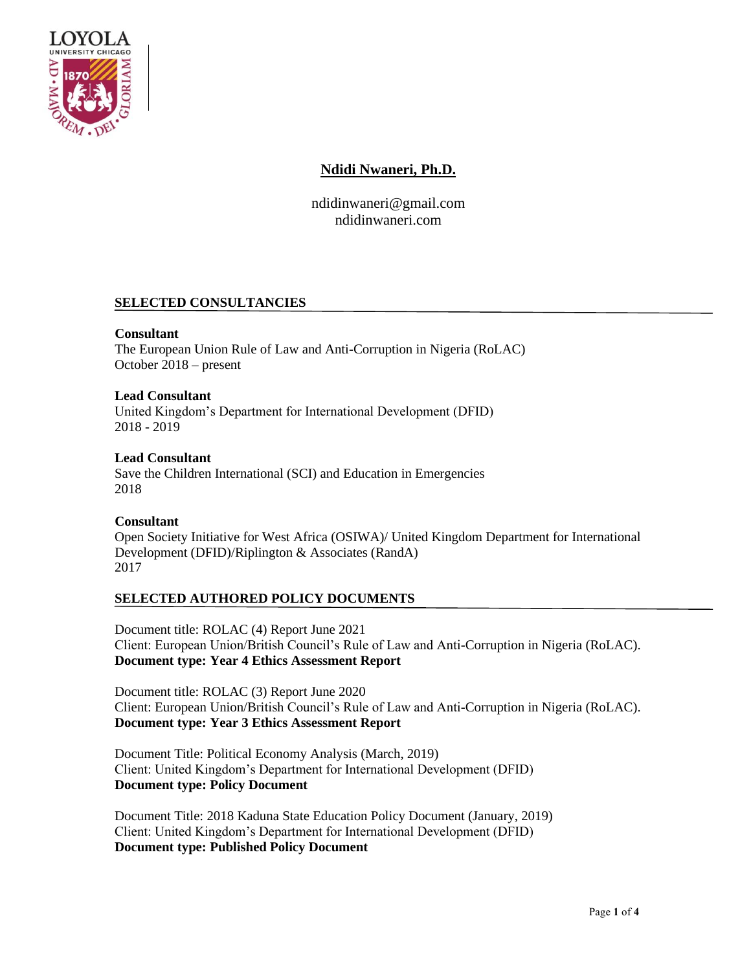

## **Ndidi Nwaneri, Ph.D.**

ndidinwaneri@gmail.com ndidinwaneri.com

## **SELECTED CONSULTANCIES**

**Consultant**  The European Union Rule of Law and Anti-Corruption in Nigeria (RoLAC) October 2018 – present

**Lead Consultant**  United Kingdom's Department for International Development (DFID) 2018 - 2019

**Lead Consultant**  Save the Children International (SCI) and Education in Emergencies 2018

#### **Consultant**  Open Society Initiative for West Africa (OSIWA)/ United Kingdom Department for International Development (DFID)/Riplington & Associates (RandA) 2017

## **SELECTED AUTHORED POLICY DOCUMENTS**

Document title: ROLAC (4) Report June 2021 Client: European Union/British Council's Rule of Law and Anti-Corruption in Nigeria (RoLAC). **Document type: Year 4 Ethics Assessment Report**

Document title: ROLAC (3) Report June 2020 Client: European Union/British Council's Rule of Law and Anti-Corruption in Nigeria (RoLAC). **Document type: Year 3 Ethics Assessment Report**

Document Title: Political Economy Analysis (March, 2019) Client: United Kingdom's Department for International Development (DFID) **Document type: Policy Document**

Document Title: 2018 Kaduna State Education Policy Document (January, 2019) Client: United Kingdom's Department for International Development (DFID) **Document type: Published Policy Document**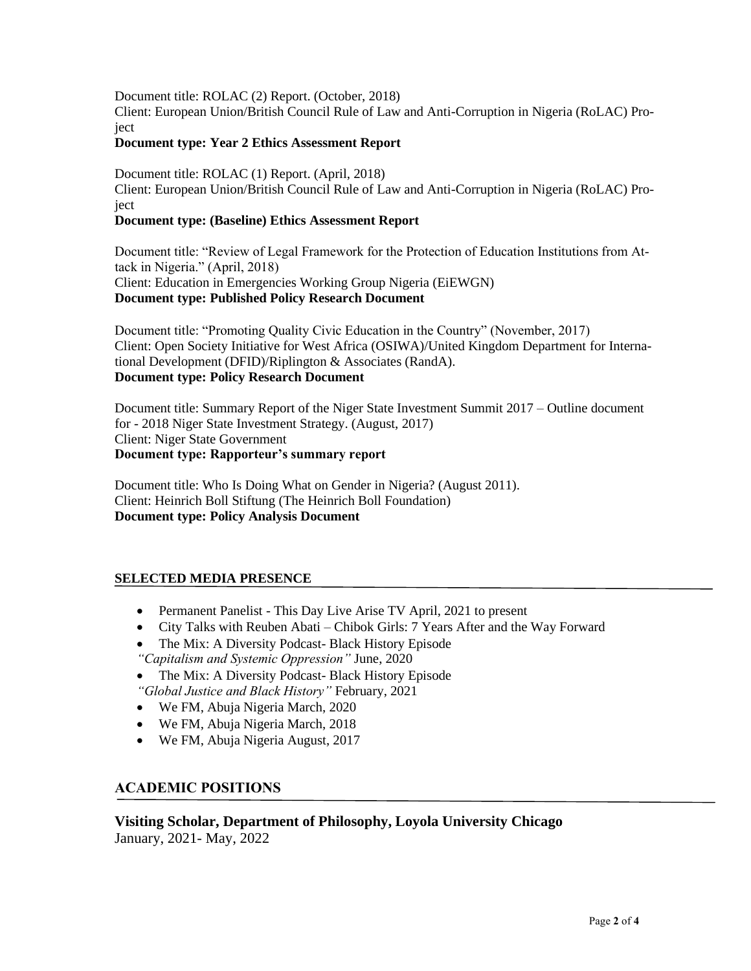Document title: ROLAC (2) Report. (October, 2018) Client: European Union/British Council Rule of Law and Anti-Corruption in Nigeria (RoLAC) Project

#### **Document type: Year 2 Ethics Assessment Report**

Document title: ROLAC (1) Report. (April, 2018) Client: European Union/British Council Rule of Law and Anti-Corruption in Nigeria (RoLAC) Project

#### **Document type: (Baseline) Ethics Assessment Report**

Document title: "Review of Legal Framework for the Protection of Education Institutions from Attack in Nigeria." (April, 2018) Client: Education in Emergencies Working Group Nigeria (EiEWGN) **Document type: Published Policy Research Document**

Document title: "Promoting Quality Civic Education in the Country" (November, 2017) Client: Open Society Initiative for West Africa (OSIWA)/United Kingdom Department for International Development (DFID)/Riplington & Associates (RandA). **Document type: Policy Research Document**

Document title: Summary Report of the Niger State Investment Summit 2017 – Outline document for - 2018 Niger State Investment Strategy. (August, 2017) Client: Niger State Government **Document type: Rapporteur's summary report** 

Document title: Who Is Doing What on Gender in Nigeria? (August 2011). Client: Heinrich Boll Stiftung (The Heinrich Boll Foundation) **Document type: Policy Analysis Document** 

## **SELECTED MEDIA PRESENCE**

- Permanent Panelist This Day Live Arise TV April, 2021 to present
- City Talks with Reuben Abati Chibok Girls: 7 Years After and the Way Forward
- The Mix: A Diversity Podcast-Black History Episode *"Capitalism and Systemic Oppression"* June, 2020
- The Mix: A Diversity Podcast- Black History Episode *"Global Justice and Black History"* February, 2021
- We FM, Abuja Nigeria March, 2020
- We FM, Abuja Nigeria March, 2018
- We FM, Abuja Nigeria August, 2017

## **ACADEMIC POSITIONS**

**Visiting Scholar, Department of Philosophy, Loyola University Chicago** January, 2021- May, 2022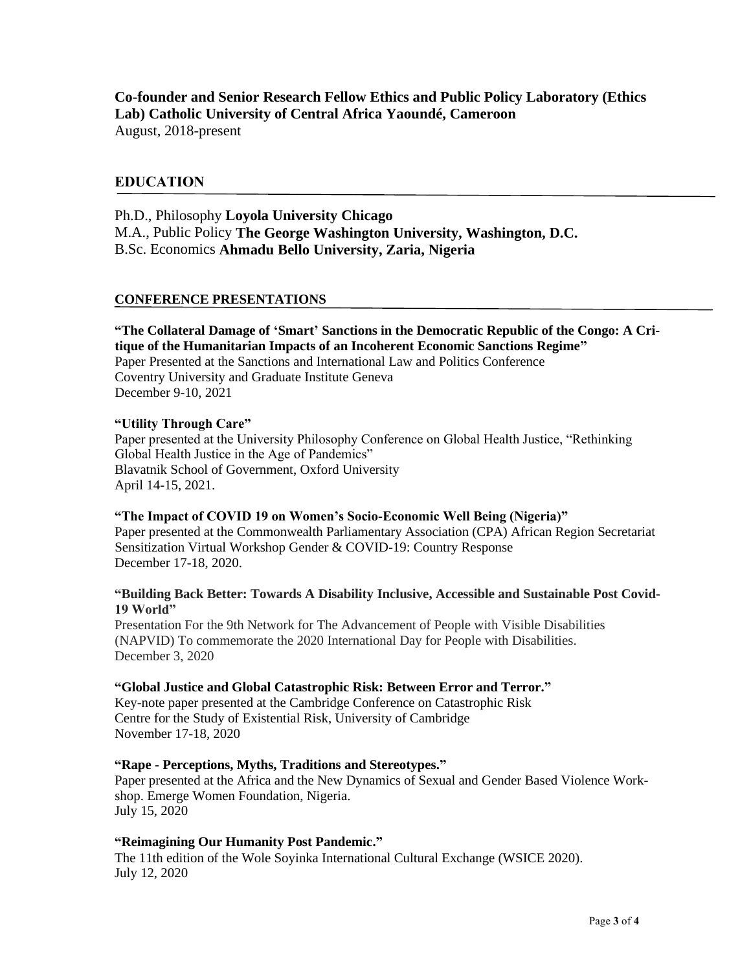# **Co-founder and Senior Research Fellow Ethics and Public Policy Laboratory (Ethics Lab) Catholic University of Central Africa Yaoundé, Cameroon**

August, 2018-present

## **EDUCATION**

Ph.D., Philosophy **Loyola University Chicago** M.A., Public Policy **The George Washington University, Washington, D.C.** B.Sc. Economics **Ahmadu Bello University, Zaria, Nigeria**

#### **CONFERENCE PRESENTATIONS**

**"The Collateral Damage of 'Smart' Sanctions in the Democratic Republic of the Congo: A Critique of the Humanitarian Impacts of an Incoherent Economic Sanctions Regime"** Paper Presented at the Sanctions and International Law and Politics Conference Coventry University and Graduate Institute Geneva December 9-10, 2021

#### **"Utility Through Care"**

Paper presented at the University Philosophy Conference on Global Health Justice, "Rethinking Global Health Justice in the Age of Pandemics" Blavatnik School of Government, Oxford University April 14-15, 2021.

#### **"The Impact of COVID 19 on Women's Socio-Economic Well Being (Nigeria)"**

Paper presented at the Commonwealth Parliamentary Association (CPA) African Region Secretariat Sensitization Virtual Workshop Gender & COVID-19: Country Response December 17-18, 2020.

#### **"Building Back Better: Towards A Disability Inclusive, Accessible and Sustainable Post Covid-19 World"**

Presentation For the 9th Network for The Advancement of People with Visible Disabilities (NAPVID) To commemorate the 2020 International Day for People with Disabilities. December 3, 2020

#### **"Global Justice and Global Catastrophic Risk: Between Error and Terror."**

Key-note paper presented at the Cambridge Conference on Catastrophic Risk Centre for the Study of Existential Risk, University of Cambridge November 17-18, 2020

#### **"Rape - Perceptions, Myths, Traditions and Stereotypes."**

Paper presented at the Africa and the New Dynamics of Sexual and Gender Based Violence Workshop. Emerge Women Foundation, Nigeria. July 15, 2020

#### **"Reimagining Our Humanity Post Pandemic."**

The 11th edition of the Wole Soyinka International Cultural Exchange (WSICE 2020). July 12, 2020